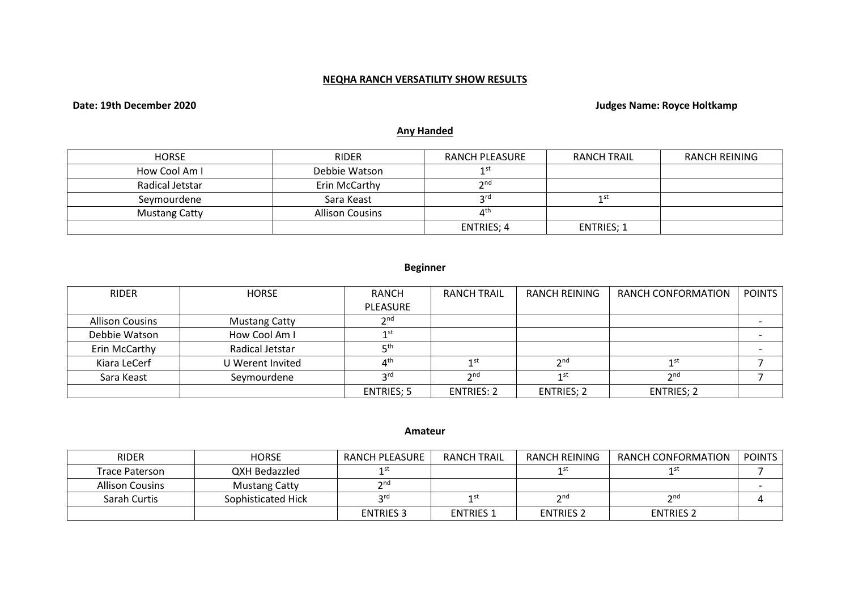# **NEQHA RANCH VERSATILITY SHOW RESULTS**

# **Date: 19th December 2020 Judges Name: Royce Holtkamp**

# **Any Handed**

| <b>HORSE</b>         | <b>RIDER</b>           | RANCH PLEASURE    | <b>RANCH TRAIL</b> | <b>RANCH REINING</b> |
|----------------------|------------------------|-------------------|--------------------|----------------------|
| How Cool Am I        | Debbie Watson          | 1 ST              |                    |                      |
| Radical Jetstar      | Erin McCarthy          | 2 <sub>nd</sub>   |                    |                      |
| Seymourdene          | Sara Keast             | $\mathsf{C}$ rd   | 1 ST               |                      |
| <b>Mustang Catty</b> | <b>Allison Cousins</b> | ⊿th               |                    |                      |
|                      |                        | <b>ENTRIES; 4</b> | <b>ENTRIES: 1</b>  |                      |

# **Beginner**

| <b>RIDER</b>    | <b>HORSE</b>         | RANCH                                                                                             | <b>RANCH TRAIL</b> | RANCH REINING     | <b>RANCH CONFORMATION</b> | <b>POINTS</b> |
|-----------------|----------------------|---------------------------------------------------------------------------------------------------|--------------------|-------------------|---------------------------|---------------|
|                 |                      | PLEASURE                                                                                          |                    |                   |                           |               |
| Allison Cousins | <b>Mustang Catty</b> | $\mathsf{\small \mathsf{\small \mathsf{\small \mathsf{\small \mathsf{\small \mathsf{\tiny{}}}}}}$ |                    |                   |                           |               |
| Debbie Watson   | How Cool Am I        | 1 st                                                                                              |                    |                   |                           |               |
| Erin McCarthy   | Radical Jetstar      | ⊏th                                                                                               |                    |                   |                           |               |
| Kiara LeCerf    | U Werent Invited     | $\Lambda^{\text{th}}$                                                                             | 1st                | 2 <sub>nd</sub>   | 1 st                      |               |
| Sara Keast      | Seymourdene          | rd و                                                                                              | 2 <sub>nd</sub>    | 1st               | $\mathbf{\Im}$ nd         |               |
|                 |                      | ENTRIES; 5                                                                                        | <b>ENTRIES: 2</b>  | <b>ENTRIES; 2</b> | <b>ENTRIES; 2</b>         |               |

#### **Amateur**

| <b>RIDER</b>           | <b>HORSE</b>         | RANCH PLEASURE   | <b>RANCH TRAIL</b> | RANCH REINING    | RANCH CONFORMATION | POINTS |
|------------------------|----------------------|------------------|--------------------|------------------|--------------------|--------|
| Trace Paterson         | QXH Bedazzled        | 1 S L            |                    | 1 st             | 1 ડા               |        |
| <b>Allison Cousins</b> | <b>Mustang Catty</b> | $\gamma$ nd      |                    |                  |                    |        |
| Sarah Curtis           | Sophisticated Hick   | ord.             | 1st                | 2 <sub>nd</sub>  | $\gamma$ nd        |        |
|                        |                      | <b>ENTRIES 3</b> | <b>ENTRIES 1</b>   | <b>ENTRIES 2</b> | <b>ENTRIES 2</b>   |        |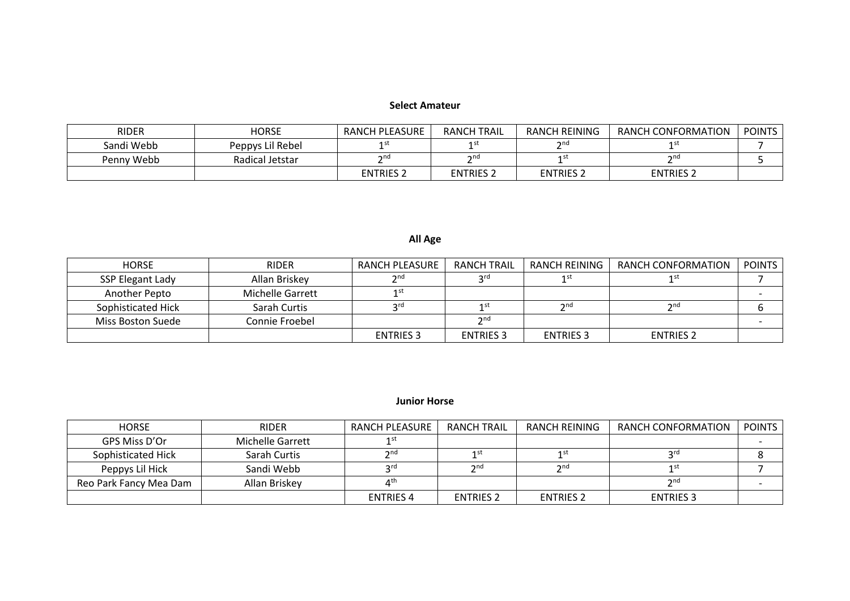#### **Select Amateur**

| <b>RIDER</b> | <b>HORSE</b>     | RANCH PLEASURE   | <b>RANCH TRAIL</b> | RANCH REINING                                                                                                     | RANCH CONFORMATION   | <b>POINTS</b> |
|--------------|------------------|------------------|--------------------|-------------------------------------------------------------------------------------------------------------------|----------------------|---------------|
| Sandi Webb   | Peppys Lil Rebel |                  | 1 st               | $\mathsf{\small \mathsf{\small \mathsf{\small \mathsf{\small \mathsf{\small \mathsf{\small \mathsf{\tiny{}}}}}}}$ |                      |               |
| Penny Webb   | Radical Jetstar  | ີ nd             | $\mathbf{a}$       | 1st                                                                                                               | $\mathsf{\gamma}$ nd |               |
|              |                  | <b>ENTRIES 2</b> | <b>ENTRIES 2</b>   | <b>ENTRIES 2</b>                                                                                                  | <b>ENTRIES 2</b>     |               |

# **All Age**

| <b>HORSE</b>       | <b>RIDER</b>     | RANCH PLEASURE   | RANCH TRAIL      | RANCH REINING    | RANCH CONFORMATION | <b>POINTS</b> |
|--------------------|------------------|------------------|------------------|------------------|--------------------|---------------|
| SSP Elegant Lady   | Allan Briskey    | $\mathcal{D}$ nd | ord              | 1st              |                    |               |
| Another Pepto      | Michelle Garrett | 1 st             |                  |                  |                    |               |
| Sophisticated Hick | Sarah Curtis     | <b>ord</b>       | 1 st             | 2nd              | 2 <sub>nd</sub>    |               |
| Miss Boston Suede  | Connie Froebel   |                  | 2 <sub>nd</sub>  |                  |                    |               |
|                    |                  | <b>ENTRIES 3</b> | <b>ENTRIES 3</b> | <b>ENTRIES 3</b> | <b>ENTRIES 2</b>   |               |

#### **Junior Horse**

| <b>HORSE</b>           | <b>RIDER</b>     | RANCH PLEASURE   | <b>RANCH TRAIL</b> | RANCH REINING    | RANCH CONFORMATION                                                                                                | <b>POINTS</b> |
|------------------------|------------------|------------------|--------------------|------------------|-------------------------------------------------------------------------------------------------------------------|---------------|
| GPS Miss D'Or          | Michelle Garrett | 1 ST             |                    |                  |                                                                                                                   |               |
| Sophisticated Hick     | Sarah Curtis     | $2^{\text{nd}}$  |                    | 1 ST             | ord                                                                                                               |               |
| Peppys Lil Hick        | Sandi Webb       | rd د             | $\n 2n$            | $\mathcal{D}$ nd |                                                                                                                   |               |
| Reo Park Fancy Mea Dam | Allan Briskey    | ⊿th              |                    |                  | $\mathsf{\small \mathsf{\small \mathsf{\small \mathsf{\small \mathsf{\small \mathsf{\small \mathsf{\tiny{}}}}}}}$ |               |
|                        |                  | <b>ENTRIES 4</b> | <b>ENTRIES 2</b>   | <b>ENTRIES 2</b> | <b>ENTRIES 3</b>                                                                                                  |               |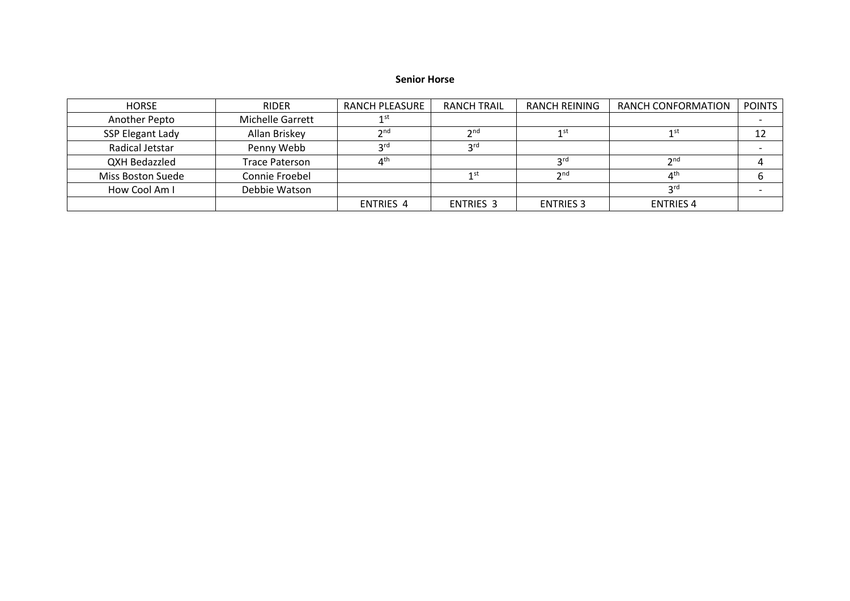#### **Senior Horse**

| <b>HORSE</b>            | <b>RIDER</b>     | RANCH PLEASURE       | <b>RANCH TRAIL</b> | RANCH REINING     | RANCH CONFORMATION      | <b>POINTS</b> |
|-------------------------|------------------|----------------------|--------------------|-------------------|-------------------------|---------------|
| Another Pepto           | Michelle Garrett | 1 st                 |                    |                   |                         |               |
| <b>SSP Elegant Lady</b> | Allan Briskey    | $\mathbf{\Omega}$ nd | 2 <sub>nd</sub>    | 1 st              | 1st                     |               |
| Radical Jetstar         | Penny Webb       | <b>o</b> rd          | <b>2rd</b>         |                   |                         |               |
| QXH Bedazzled           | Trace Paterson   |                      |                    | <b>2rd</b>        | 2n <sub>0</sub>         |               |
| Miss Boston Suede       | Connie Froebel   |                      | 1 st               | $\mathbf{\infty}$ | $\Lambda$ <sup>th</sup> |               |
| How Cool Am I           | Debbie Watson    |                      |                    |                   | ord                     |               |
|                         |                  | <b>ENTRIES 4</b>     | <b>ENTRIES 3</b>   | <b>ENTRIES 3</b>  | <b>ENTRIES 4</b>        |               |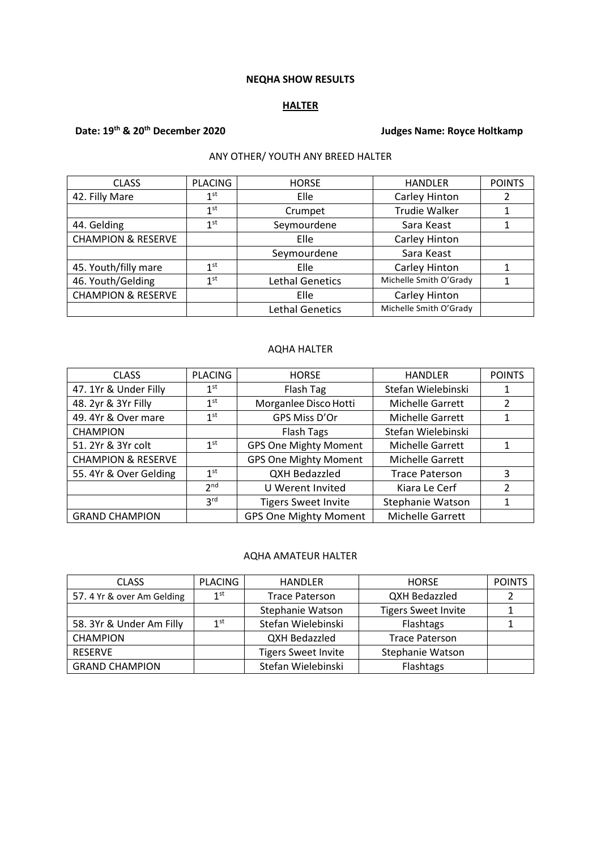#### **NEQHA SHOW RESULTS**

#### **HALTER**

# **Date: 19th & 20th December 2020 Judges Name: Royce Holtkamp**

# ANY OTHER/ YOUTH ANY BREED HALTER

| <b>CLASS</b>                  | <b>PLACING</b>  | <b>HORSE</b>           | <b>HANDLER</b>         | <b>POINTS</b> |
|-------------------------------|-----------------|------------------------|------------------------|---------------|
| 42. Filly Mare                | 1 <sup>st</sup> | Elle                   | Carley Hinton          |               |
|                               | 1 <sup>st</sup> | Crumpet                | <b>Trudie Walker</b>   |               |
| 44. Gelding                   | 1 <sup>st</sup> | Seymourdene            | Sara Keast             |               |
| <b>CHAMPION &amp; RESERVE</b> |                 | Elle                   | Carley Hinton          |               |
|                               |                 | Seymourdene            | Sara Keast             |               |
| 45. Youth/filly mare          | 1 <sup>st</sup> | Elle                   | Carley Hinton          |               |
| 46. Youth/Gelding             | 1 <sup>st</sup> | <b>Lethal Genetics</b> | Michelle Smith O'Grady |               |
| <b>CHAMPION &amp; RESERVE</b> |                 | Elle                   | Carley Hinton          |               |
|                               |                 | <b>Lethal Genetics</b> | Michelle Smith O'Grady |               |

# AQHA HALTER

| <b>CLASS</b>                  | <b>PLACING</b>  | <b>HORSE</b>                 | <b>HANDLER</b>        | <b>POINTS</b> |
|-------------------------------|-----------------|------------------------------|-----------------------|---------------|
| 47. 1Yr & Under Filly         | 1 <sup>st</sup> | Flash Tag                    | Stefan Wielebinski    |               |
| 48. 2yr & 3Yr Filly           | $1^{\rm st}$    | Morganlee Disco Hotti        | Michelle Garrett      | 2             |
| 49. 4Yr & Over mare           | 1 <sup>st</sup> | GPS Miss D'Or                | Michelle Garrett      | 1             |
| <b>CHAMPION</b>               |                 | <b>Flash Tags</b>            | Stefan Wielebinski    |               |
| 51. 2Yr & 3Yr colt            | 1 <sup>st</sup> | <b>GPS One Mighty Moment</b> | Michelle Garrett      |               |
| <b>CHAMPION &amp; RESERVE</b> |                 | <b>GPS One Mighty Moment</b> | Michelle Garrett      |               |
| 55. 4Yr & Over Gelding        | 1 <sup>st</sup> | <b>QXH Bedazzled</b>         | <b>Trace Paterson</b> | 3             |
|                               | 2 <sub>nd</sub> | U Werent Invited             | Kiara Le Cerf         | $\mathcal{P}$ |
|                               | 3 <sup>rd</sup> | <b>Tigers Sweet Invite</b>   | Stephanie Watson      |               |
| <b>GRAND CHAMPION</b>         |                 | <b>GPS One Mighty Moment</b> | Michelle Garrett      |               |

#### AQHA AMATEUR HALTER

| <b>CLASS</b>               | <b>PLACING</b>  | <b>HANDLER</b>             | <b>HORSE</b>               | <b>POINTS</b> |
|----------------------------|-----------------|----------------------------|----------------------------|---------------|
| 57. 4 Yr & over Am Gelding | 1 <sup>st</sup> | <b>Trace Paterson</b>      | QXH Bedazzled              |               |
|                            |                 | <b>Stephanie Watson</b>    | <b>Tigers Sweet Invite</b> |               |
| 58. 3Yr & Under Am Filly   | 1 <sup>st</sup> | Stefan Wielebinski         | Flashtags                  |               |
| <b>CHAMPION</b>            |                 | QXH Bedazzled              | <b>Trace Paterson</b>      |               |
| <b>RESERVE</b>             |                 | <b>Tigers Sweet Invite</b> | Stephanie Watson           |               |
| <b>GRAND CHAMPION</b>      |                 | Stefan Wielebinski         | Flashtags                  |               |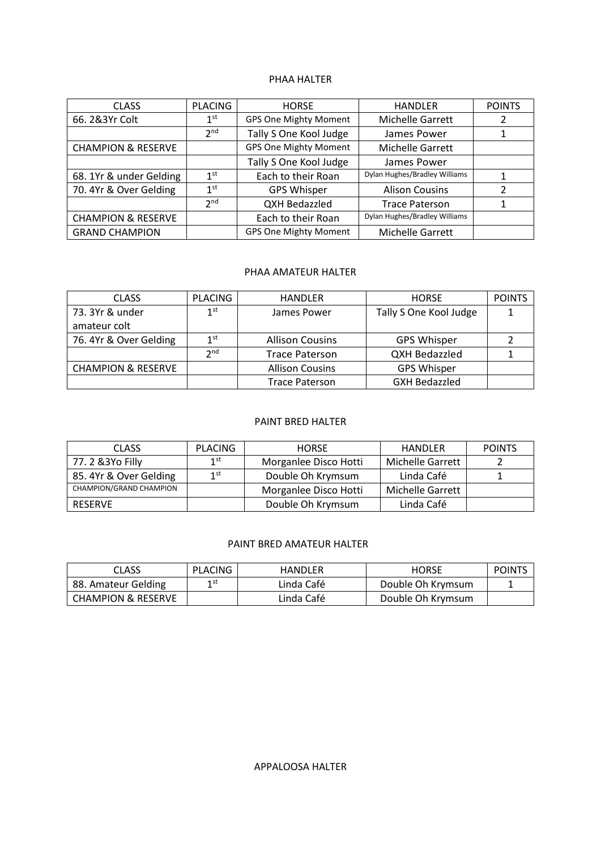#### PHAA HALTER

| <b>CLASS</b>                  | <b>PLACING</b>  | <b>HORSE</b>                 | <b>HANDLER</b>                | <b>POINTS</b> |
|-------------------------------|-----------------|------------------------------|-------------------------------|---------------|
| 66. 2&3Yr Colt                | 1 <sup>st</sup> | <b>GPS One Mighty Moment</b> | Michelle Garrett              |               |
|                               | 2 <sub>nd</sub> | Tally S One Kool Judge       | James Power                   |               |
| <b>CHAMPION &amp; RESERVE</b> |                 | <b>GPS One Mighty Moment</b> | <b>Michelle Garrett</b>       |               |
|                               |                 | Tally S One Kool Judge       | James Power                   |               |
| 68. 1Yr & under Gelding       | 1 <sup>st</sup> | Each to their Roan           | Dylan Hughes/Bradley Williams |               |
| 70. 4Yr & Over Gelding        | 1 <sup>st</sup> | <b>GPS Whisper</b>           | <b>Alison Cousins</b>         | 2             |
|                               | 2 <sub>nd</sub> | QXH Bedazzled                | <b>Trace Paterson</b>         |               |
| <b>CHAMPION &amp; RESERVE</b> |                 | Each to their Roan           | Dylan Hughes/Bradley Williams |               |
| <b>GRAND CHAMPION</b>         |                 | <b>GPS One Mighty Moment</b> | Michelle Garrett              |               |

#### PHAA AMATEUR HALTER

| <b>CLASS</b>                  | <b>PLACING</b>  | <b>HANDLER</b>         | <b>HORSE</b>           | <b>POINTS</b> |
|-------------------------------|-----------------|------------------------|------------------------|---------------|
| 73. 3Yr & under               | 1 <sup>st</sup> | James Power            | Tally S One Kool Judge |               |
| amateur colt                  |                 |                        |                        |               |
| 76.4Yr & Over Gelding         | 1 <sup>st</sup> | <b>Allison Cousins</b> | <b>GPS Whisper</b>     |               |
|                               | 2 <sub>nd</sub> | <b>Trace Paterson</b>  | <b>QXH Bedazzled</b>   |               |
| <b>CHAMPION &amp; RESERVE</b> |                 | <b>Allison Cousins</b> | <b>GPS Whisper</b>     |               |
|                               |                 | <b>Trace Paterson</b>  | <b>GXH Bedazzled</b>   |               |

#### PAINT BRED HALTER

| <b>CLASS</b>            | <b>PLACING</b>  | <b>HORSE</b>          | <b>HANDLER</b>          | <b>POINTS</b> |
|-------------------------|-----------------|-----------------------|-------------------------|---------------|
| 77.2 & 3Yo Filly        | 1 <sup>st</sup> | Morganlee Disco Hotti | Michelle Garrett        |               |
| 85. 4Yr & Over Gelding  | 1st             | Double Oh Krymsum     | Linda Café              |               |
| CHAMPION/GRAND CHAMPION |                 | Morganlee Disco Hotti | <b>Michelle Garrett</b> |               |
| RESERVE                 |                 | Double Oh Krymsum     | Linda Café              |               |

#### PAINT BRED AMATEUR HALTER

| <b>CLASS</b>                  | PLACING | HANDLER    | HORSE             | <b>POINTS</b> |
|-------------------------------|---------|------------|-------------------|---------------|
| 88. Amateur Gelding           | 1 st    | Linda Café | Double Oh Krymsum |               |
| <b>CHAMPION &amp; RESERVE</b> |         | Linda Café | Double Oh Krymsum |               |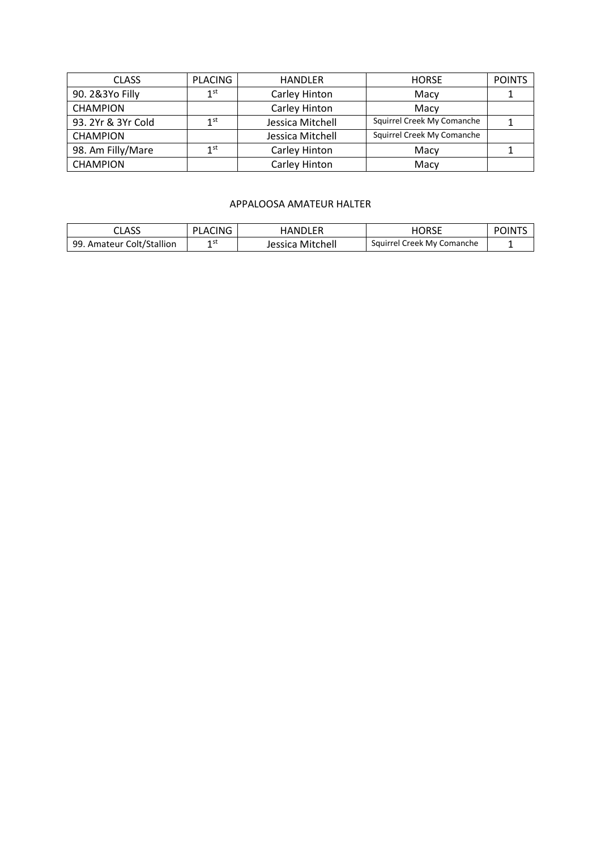| <b>CLASS</b>       | <b>PLACING</b> | <b>HANDLER</b>   | <b>HORSE</b>               | <b>POINTS</b> |
|--------------------|----------------|------------------|----------------------------|---------------|
| 90. 2&3Yo Filly    | 1st            | Carley Hinton    | Macy                       |               |
| <b>CHAMPION</b>    |                | Carley Hinton    | Macy                       |               |
| 93. 2Yr & 3Yr Cold | 1st            | Jessica Mitchell | Squirrel Creek My Comanche |               |
| <b>CHAMPION</b>    |                | Jessica Mitchell | Squirrel Creek My Comanche |               |
| 98. Am Filly/Mare  | 1st            | Carley Hinton    | Macy                       |               |
| <b>CHAMPION</b>    |                | Carley Hinton    | Macy                       |               |

#### APPALOOSA AMATEUR HALTER

| CLASS                     | PLACING | <b>HANDLER</b>   | ∩RSF                       | NNTS<br>. н |
|---------------------------|---------|------------------|----------------------------|-------------|
| 99. Amateur Colt/Stallion | 4 ST    | Jessica Mitchell | Squirrel Creek My Comanche |             |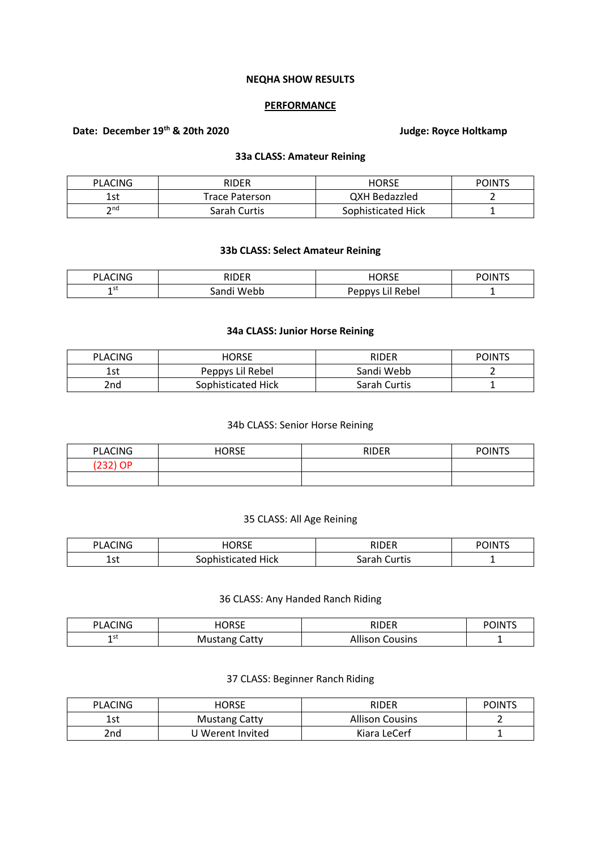#### **NEQHA SHOW RESULTS**

#### **PERFORMANCE**

# **Date: December 19th & 20th 2020 Judge: Royce Holtkamp**

#### **33a CLASS: Amateur Reining**

| <b>PLACING</b>            | <b>RIDER</b>   | <b>HORSE</b>       | <b>POINTS</b> |
|---------------------------|----------------|--------------------|---------------|
| 1 c t<br>ᆦ                | Trace Paterson | QXH Bedazzled      |               |
| $\mathsf{\small \neg}$ nd | Sarah Curtis   | Sophisticated Hick |               |

# **33b CLASS: Select Amateur Reining**

| CING<br>D.<br>Δ | 1000         | 10000<br>- רי     | <b>JINT<sup>c</sup></b><br>ാ $\epsilon$ |
|-----------------|--------------|-------------------|-----------------------------------------|
| 1 St<br>-       | Webb<br>and: | Rebe<br>nnnn<br>ີ | -                                       |

#### **34a CLASS: Junior Horse Reining**

| <b>PLACING</b> | HORSE              | RIDER        | <b>POINTS</b> |
|----------------|--------------------|--------------|---------------|
| 1 c t<br>ᆦᄀ    | Peppys Lil Rebel   | Sandi Webb   |               |
| 2nd            | Sophisticated Hick | Sarah Curtis |               |

#### 34b CLASS: Senior Horse Reining

| <b>PLACING</b> | <b>HORSE</b> | <b>RIDER</b> | <b>POINTS</b> |
|----------------|--------------|--------------|---------------|
| (232) OP       |              |              |               |
|                |              |              |               |

# 35 CLASS: All Age Reining

| CING<br>DI<br>$\mathbf{A}^{\prime}$ | HORSE | RIDER  | <b>POINT</b> |
|-------------------------------------|-------|--------|--------------|
| 1.4                                 | Hick  | Curtis | -            |
| ᅩᇰᄔ                                 | ٬۵۲   | .nrok  |              |

# 36 CLASS: Any Handed Ranch Riding

| <b>CING</b><br>DΙ<br>''' A∟… | 10000<br>טר<br>╵╵┙┕                 | ם חור                  | POINTS |
|------------------------------|-------------------------------------|------------------------|--------|
| 1 S I<br>-                   | Catty<br>M<br>-נוזי<br>' viustalik. | .<br>ousins<br>Allison |        |

# 37 CLASS: Beginner Ranch Riding

| <b>PLACING</b> | <b>HORSE</b>         | RIDER                  | <b>POINTS</b> |
|----------------|----------------------|------------------------|---------------|
| 1 c t<br>ົ⊥ລເ  | <b>Mustang Catty</b> | <b>Allison Cousins</b> |               |
| 2nd            | J Werent Invited     | Kiara LeCerf           |               |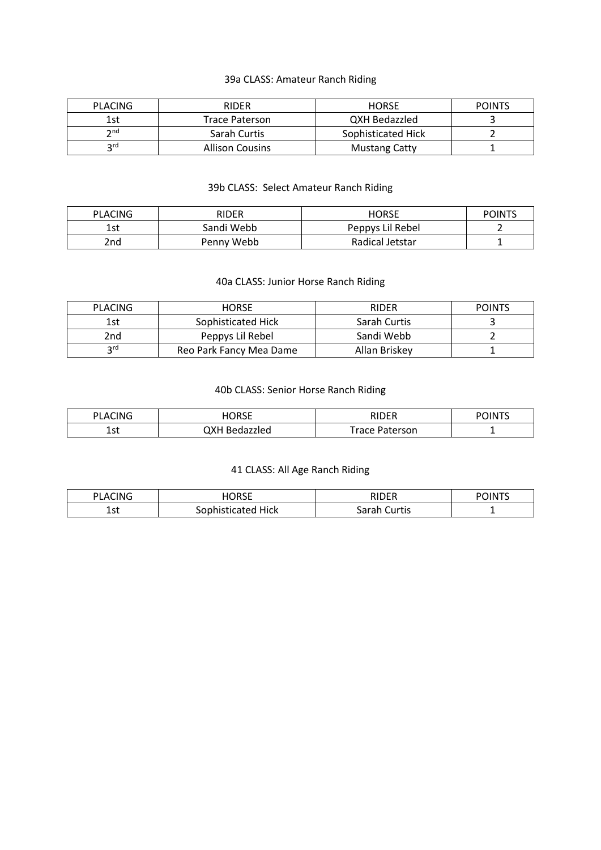# 39a CLASS: Amateur Ranch Riding

| <b>PLACING</b>  | <b>RIDER</b>           | <b>HORSE</b>         | <b>POINTS</b> |
|-----------------|------------------------|----------------------|---------------|
| 1st             | Trace Paterson         | QXH Bedazzled        |               |
| $\mathsf{p}$ nd | Sarah Curtis           | Sophisticated Hick   |               |
| ord             | <b>Allison Cousins</b> | <b>Mustang Catty</b> |               |

# 39b CLASS: Select Amateur Ranch Riding

| <b>PLACING</b> | RIDER      | <b>HORSE</b>     | <b>POINTS</b> |
|----------------|------------|------------------|---------------|
| 1st            | Sandi Webb | Peppys Lil Rebel |               |
| 2nd            | Penny Webb | Radical Jetstar  |               |

# 40a CLASS: Junior Horse Ranch Riding

| <b>PLACING</b> | <b>HORSE</b>            | <b>RIDER</b>  | <b>POINTS</b> |
|----------------|-------------------------|---------------|---------------|
| 1st            | Sophisticated Hick      | Sarah Curtis  |               |
| 2nd            | Peppys Lil Rebel        | Sandi Webb    |               |
| <b>2rd</b>     | Reo Park Fancy Mea Dame | Allan Briskey |               |

# 40b CLASS: Senior Horse Ranch Riding

| <b>PLACING</b> | HORSE              | RIDER                 | POINT <sup>e</sup> |
|----------------|--------------------|-----------------------|--------------------|
| า ∼+<br>ᅩコ     | ОХН В<br>Bedazzled | <b>Trace Paterson</b> |                    |

# 41 CLASS: All Age Ranch Riding

| CING<br>DΙ<br>А | <b>HORSE</b>  | DINED                               | <b>POINT'</b> |
|-----------------|---------------|-------------------------------------|---------------|
| 1.4<br>ᅩఎเ      | Hick<br>raten | `urtis<br>$\sim$ $\sim$<br>Ja!<br>a |               |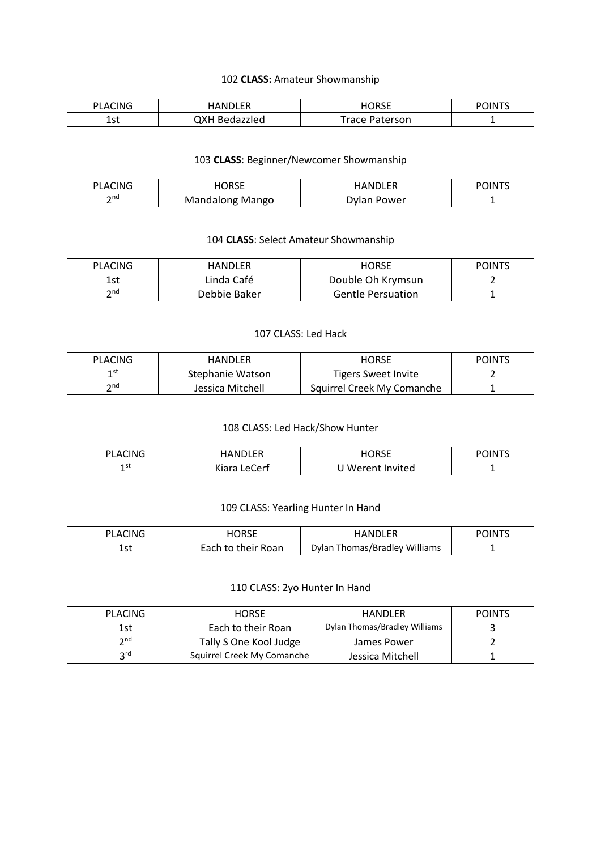# 102 **CLASS:** Amateur Showmanship

| CING<br>DΙ<br>A. | $\mathcal{L}$ $\mathcal{L}$<br>IAΝ | HORSE    | $\cdots$<br>жN |
|------------------|------------------------------------|----------|----------------|
| 1.4              | 7XH.                               | Paterson | -              |
| ᅩఎ               | Bedazzled                          | Trace :  |                |

#### 103 **CLASS**: Beginner/Newcomer Showmanship

| <b>CING</b><br>ום<br>LACI" | <b>HORSF</b><br>.              | IANDI FR       | <b>POINTS</b> |
|----------------------------|--------------------------------|----------------|---------------|
| ∍nd<br>-                   | Mango<br>ndalong<br>$-$<br>Mai | )vlan<br>ower' |               |

# 104 **CLASS**: Select Amateur Showmanship

| <b>PLACING</b>                                                                                                    | HANDLER      | HORSE                    | <b>POINTS</b> |
|-------------------------------------------------------------------------------------------------------------------|--------------|--------------------------|---------------|
| 1 ራተ<br>⊥วเ                                                                                                       | Linda Café   | Double Oh Krymsun        |               |
| $\mathsf{\small \mathsf{\small \mathsf{\small \mathsf{\small \mathsf{\small \mathsf{\small \mathsf{\tiny{}}}}}}}$ | Debbie Baker | <b>Gentle Persuation</b> |               |

#### 107 CLASS: Led Hack

| <b>PLACING</b>  | HANDLER          | HORSE                      | <b>POINTS</b> |
|-----------------|------------------|----------------------------|---------------|
| ⊿ st            | Stephanie Watson | Tigers Sweet Invite        |               |
| $\mathsf{h}$ nd | Jessica Mitchell | Squirrel Creek My Comanche |               |

# 108 CLASS: Led Hack/Show Hunter

| <sup>›</sup> LACING | dler<br><b>AND</b>      | IORSE          | <b>POINTS</b> |
|---------------------|-------------------------|----------------|---------------|
| 1 st<br>. .         | Vinro.<br>LeCerf<br>Nid | Werent Invited |               |

# 109 CLASS: Yearling Hunter In Hand

| PLACING     | IORSF                   | <b>HANDLER</b>                | <b>POINTS</b> |
|-------------|-------------------------|-------------------------------|---------------|
| 1 ሖተ<br>ᅩこし | their Roan<br>Each to i | Dylan Thomas/Bradley Williams |               |

# 110 CLASS: 2yo Hunter In Hand

| <b>PLACING</b>                                                                                                    | <b>HORSE</b>               | HANDLER                       | <b>POINTS</b> |
|-------------------------------------------------------------------------------------------------------------------|----------------------------|-------------------------------|---------------|
| 1st                                                                                                               | Each to their Roan         | Dylan Thomas/Bradley Williams |               |
| $\mathsf{\small \mathsf{\small \mathsf{\small \mathsf{\small \mathsf{\small \mathsf{\small \mathsf{\tiny{}}}}}}}$ | Tally S One Kool Judge     | James Power                   |               |
| <b>2rd</b>                                                                                                        | Squirrel Creek My Comanche | Jessica Mitchell              |               |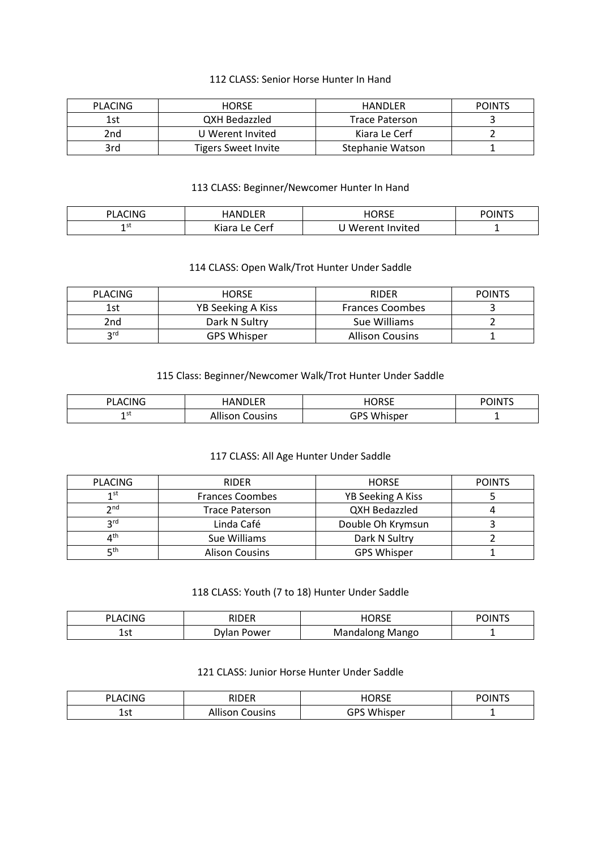#### 112 CLASS: Senior Horse Hunter In Hand

| <b>PLACING</b> | <b>HORSE</b>        | HANDLER               | <b>POINTS</b> |
|----------------|---------------------|-----------------------|---------------|
| 1st            | QXH Bedazzled       | <b>Trace Paterson</b> |               |
| 2nd            | U Werent Invited    | Kiara Le Cerf         |               |
| 3rd            | Tigers Sweet Invite | Stephanie Watson      |               |

#### 113 CLASS: Beginner/Newcomer Hunter In Hand

| <b>CING</b><br>DΙ<br>Δ | <b>IANDI FR</b>                              | <b>HORSE</b>     | <b>POINT</b> <sup>C</sup> |
|------------------------|----------------------------------------------|------------------|---------------------------|
| 1 st<br>-              | $\sim$ .<br>∽<br>'ert<br>Kiara<br>$\epsilon$ | J Werent Invited | -                         |

#### 114 CLASS: Open Walk/Trot Hunter Under Saddle

| <b>PLACING</b> | <b>HORSE</b>       | <b>RIDER</b>           | <b>POINTS</b> |
|----------------|--------------------|------------------------|---------------|
| 1st            | YB Seeking A Kiss  | <b>Frances Coombes</b> |               |
| 2nd            | Dark N Sultry      | Sue Williams           |               |
| rd۔            | <b>GPS Whisper</b> | <b>Allison Cousins</b> |               |

# 115 Class: Beginner/Newcomer Walk/Trot Hunter Under Saddle

| CING<br>D١<br>' AC | HANDLER            | HORSF              | <b>POINT<sup>c</sup></b> |
|--------------------|--------------------|--------------------|--------------------------|
| 15 L<br>-          | Cousins<br>Allison | <b>GPS Whisper</b> |                          |

# 117 CLASS: All Age Hunter Under Saddle

| <b>PLACING</b>  | <b>RIDER</b>           | <b>HORSE</b>       | <b>POINTS</b> |
|-----------------|------------------------|--------------------|---------------|
| 1 <sub>st</sub> | <b>Frances Coombes</b> | YB Seeking A Kiss  |               |
| $\mathsf{p}$ nd | <b>Trace Paterson</b>  | QXH Bedazzled      |               |
| <b>2rd</b>      | Linda Café             | Double Oh Krymsun  |               |
| ⊿th             | Sue Williams           | Dark N Sultry      |               |
| ⊑th             | <b>Alison Cousins</b>  | <b>GPS Whisper</b> |               |

# 118 CLASS: Youth (7 to 18) Hunter Under Saddle

| $\sim$<br>ים<br>'N<br>Δ<br>-<br>. . | DINED<br>. .<br>- - | $- - - -$<br>אנ<br>. . J L<br>_____ | <br>нN<br>יט |
|-------------------------------------|---------------------|-------------------------------------|--------------|
| +∼י<br>ᅩఎเ                          | ower<br>. .<br>בוענ | Mango<br>ivia<br>ں ،<br>.<br>11 I I | -            |

#### 121 CLASS: Junior Horse Hunter Under Saddle

| PLACING     | <b>RIDER</b><br>.      | I<br>. JK<br>∟טושו | $\sim$ OINT $\sim$<br>ാറ<br>. . |
|-------------|------------------------|--------------------|---------------------------------|
| 1 ~+<br>ᅩコし | .<br>ousins<br>Allison | <b>GPS Whisper</b> | -                               |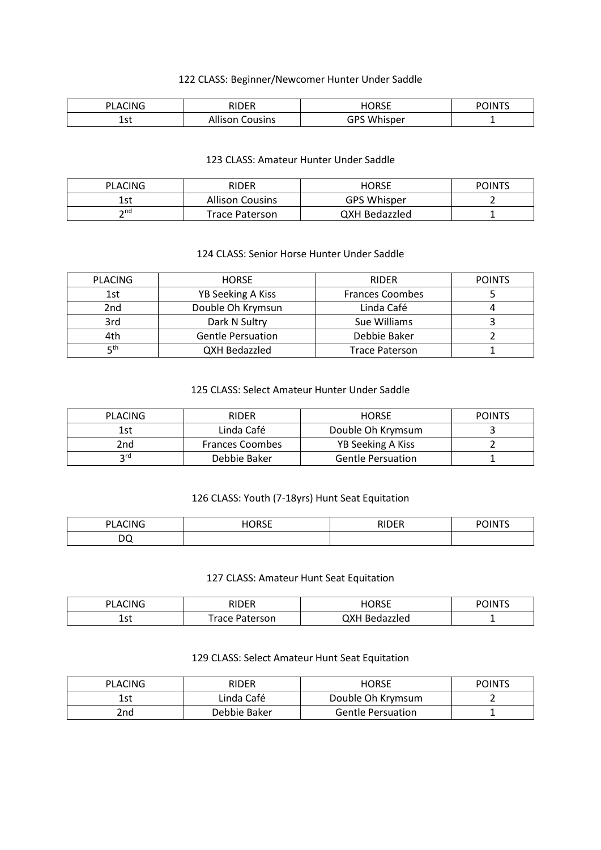# 122 CLASS: Beginner/Newcomer Hunter Under Saddle

| $\sim$<br>ים<br>'N<br>А<br>. .<br>. . | <b>DINED</b><br>11-L<br>NI | 50000<br>. .<br>᠂╹╹┙┕<br>____ | $\cdots$<br>$\cdot$<br>жN<br>. . |
|---------------------------------------|----------------------------|-------------------------------|----------------------------------|
| .<br>ᅩᇰい<br>__                        | pusins                     | GPS Whi<br>าisper             | -                                |

#### 123 CLASS: Amateur Hunter Under Saddle

| PLACING | <b>RIDER</b>           | HORSE              | <b>POINTS</b> |
|---------|------------------------|--------------------|---------------|
| 1st     | <b>Allison Cousins</b> | <b>GPS Whisper</b> |               |
| ን nd    | <b>Trace Paterson</b>  | QXH Bedazzled      |               |

# 124 CLASS: Senior Horse Hunter Under Saddle

| <b>PLACING</b> | <b>HORSE</b>             | <b>RIDER</b>           | <b>POINTS</b> |
|----------------|--------------------------|------------------------|---------------|
| 1st            | <b>YB Seeking A Kiss</b> | <b>Frances Coombes</b> |               |
| 2nd            | Double Oh Krymsun        | Linda Café             |               |
| 3rd            | Dark N Sultry            | Sue Williams           |               |
| 4th            | <b>Gentle Persuation</b> | Debbie Baker           |               |
| rth⊑           | QXH Bedazzled            | <b>Trace Paterson</b>  |               |

# 125 CLASS: Select Amateur Hunter Under Saddle

| <b>PLACING</b> | <b>RIDER</b>           | <b>HORSE</b>             | <b>POINTS</b> |
|----------------|------------------------|--------------------------|---------------|
| 1st            | Linda Café             | Double Oh Krymsum        |               |
| 2nd.           | <b>Frances Coombes</b> | YB Seeking A Kiss        |               |
| ord            | Debbie Baker           | <b>Gentle Persuation</b> |               |

# 126 CLASS: Youth (7-18yrs) Hunt Seat Equitation

| CING<br>DI A<br>______ | I<br>н.<br>.JNJL . | <b>RIDER</b> | <b>POINT'</b> |
|------------------------|--------------------|--------------|---------------|
| nc<br>◡                |                    |              |               |

#### 127 CLASS: Amateur Hunt Seat Equitation

| PLACING   | RIDER          | HORSE         | <b>POINT<sup>c</sup></b> |
|-----------|----------------|---------------|--------------------------|
| ร~<br>ᆂᇰᄔ | Trace Paterson | QXH Bedazzled |                          |

# 129 CLASS: Select Amateur Hunt Seat Equitation

| <b>PLACING</b> | <b>RIDER</b> | HORSE                    | <b>POINTS</b> |
|----------------|--------------|--------------------------|---------------|
| lst            | Linda Café   | Double Oh Krymsum        |               |
| 2nd            | Debbie Baker | <b>Gentle Persuation</b> |               |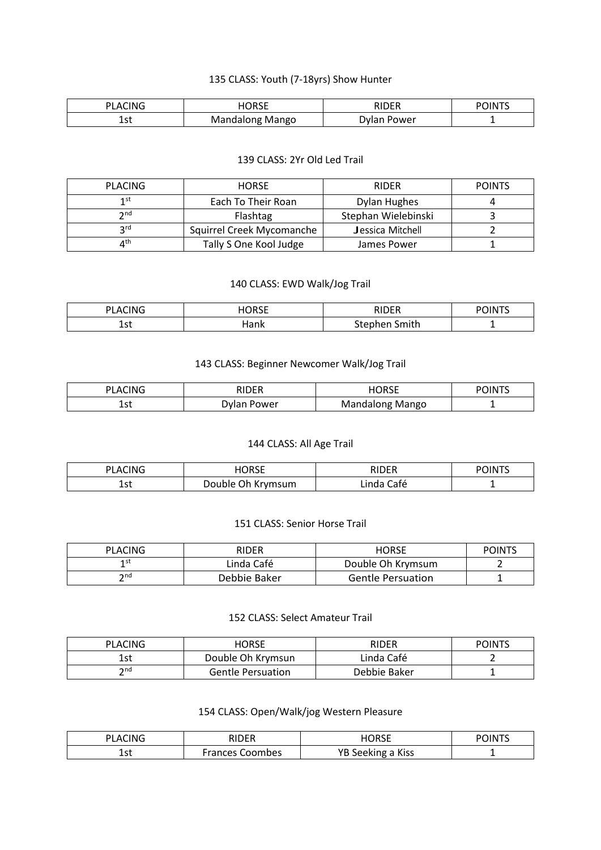# 135 CLASS: Youth (7-18yrs) Show Hunter

| CING<br>DI<br>А<br>∼ | $n -$<br>-<br><b>CONTRACTOR</b><br>∟כוי | 1000        | нN |
|----------------------|-----------------------------------------|-------------|----|
| .<br>ᅩコし<br>- -      | Mango<br>٦n٥                            | 'ower<br>״י |    |

#### 139 CLASS: 2Yr Old Led Trail

| <b>PLACING</b>   | <b>HORSE</b>              | <b>RIDER</b>        | <b>POINTS</b> |
|------------------|---------------------------|---------------------|---------------|
| 1st              | Each To Their Roan        | Dylan Hughes        |               |
| $\bm{\gamma}$ nd | Flashtag                  | Stephan Wielebinski |               |
| <b>2rd</b>       | Squirrel Creek Mycomanche | Jessica Mitchell    |               |
| ⊿th              | Tally S One Kool Judge    | James Power         |               |

# 140 CLASS: EWD Walk/Jog Trail

| CING             | <b>HORSE</b>   | <b>DIDED</b>                 | <b>POINT'</b> |
|------------------|----------------|------------------------------|---------------|
| PI A             | _____          |                              |               |
| ร~<br>ᅩᇰᄔ<br>- - | lank<br>______ | - -<br>ริmith<br>.<br>$\sim$ | -             |

# 143 CLASS: Beginner Newcomer Walk/Jog Trail

| CING<br>DI Δι | - ספחוי<br><u>'∟I.</u> | I<br>טר<br>.           | <b>POINT</b><br>. . |
|---------------|------------------------|------------------------|---------------------|
| า ~+<br>ᅩつし   | wlan.<br>Power         | Mango<br>Man<br>dalong |                     |

# 144 CLASS: All Age Trail

| <b>PLACING</b> | <b>HORSE</b>      | RIDER      | <b>POINTS</b> |
|----------------|-------------------|------------|---------------|
| 1 ∽+<br>ᅩこし    | Double Oh Krymsum | Linda Café |               |

#### 151 CLASS: Senior Horse Trail

| <b>PLACING</b> | RIDER        | <b>HORSE</b>             | <b>POINTS</b> |
|----------------|--------------|--------------------------|---------------|
| 1 st           | Linda Café   | Double Oh Krymsum        |               |
| つnd            | Debbie Baker | <b>Gentle Persuation</b> |               |

# 152 CLASS: Select Amateur Trail

| <b>PLACING</b> | <b>HORSE</b>             | RIDER        | <b>POINTS</b> |
|----------------|--------------------------|--------------|---------------|
| 1st            | Double Oh Krymsun        | Linda Café   |               |
| ን nd           | <b>Gentle Persuation</b> | Debbie Baker |               |

#### 154 CLASS: Open/Walk/jog Western Pleasure

| PI ACING  | RIDER              | I                                         | $\sim$ $1N$ TC |
|-----------|--------------------|-------------------------------------------|----------------|
|           | .                  | . IK'                                     | יט             |
|           |                    | .                                         | . .            |
| 1.<br>ᅩఎເ | Frances<br>Coombes | <b>Kiss</b><br>YΒ<br>nø<br><b>JEENIIK</b> | -              |